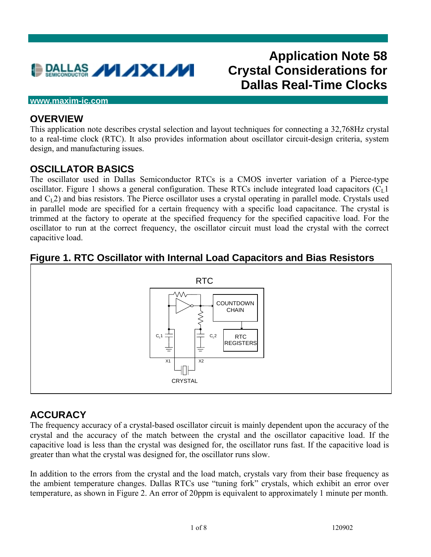

# **Application Note 58 Crystal Considerations for Dallas Real-Time Clocks**

#### **www.maxim-ic.com**

#### **OVERVIEW**

This application note describes crystal selection and layout techniques for connecting a 32,768Hz crystal to a real-time clock (RTC). It also provides information about oscillator circuit-design criteria, system design, and manufacturing issues.

#### **OSCILLATOR BASICS**

The oscillator used in Dallas Semiconductor RTCs is a CMOS inverter variation of a Pierce-type oscillator. Figure 1 shows a general configuration. These RTCs include integrated load capacitors  $(C<sub>L</sub>1)$ and  $C<sub>1</sub>2$ ) and bias resistors. The Pierce oscillator uses a crystal operating in parallel mode. Crystals used in parallel mode are specified for a certain frequency with a specific load capacitance. The crystal is trimmed at the factory to operate at the specified frequency for the specified capacitive load. For the oscillator to run at the correct frequency, the oscillator circuit must load the crystal with the correct capacitive load.

# **Figure 1. RTC Oscillator with Internal Load Capacitors and Bias Resistors**



# **ACCURACY**

The frequency accuracy of a crystal-based oscillator circuit is mainly dependent upon the accuracy of the crystal and the accuracy of the match between the crystal and the oscillator capacitive load. If the capacitive load is less than the crystal was designed for, the oscillator runs fast. If the capacitive load is greater than what the crystal was designed for, the oscillator runs slow.

In addition to the errors from the crystal and the load match, crystals vary from their base frequency as the ambient temperature changes. Dallas RTCs use "tuning fork" crystals, which exhibit an error over temperature, as shown in Figure 2. An error of 20ppm is equivalent to approximately 1 minute per month.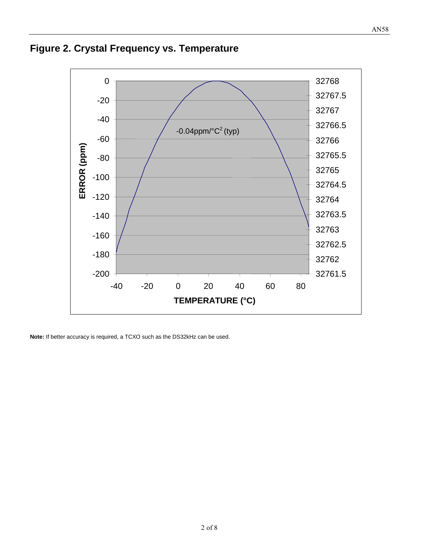# **Figure 2. Crystal Frequency vs. Temperature**



**Note:** If better accuracy is required, a TCXO such as the DS32kHz can be used.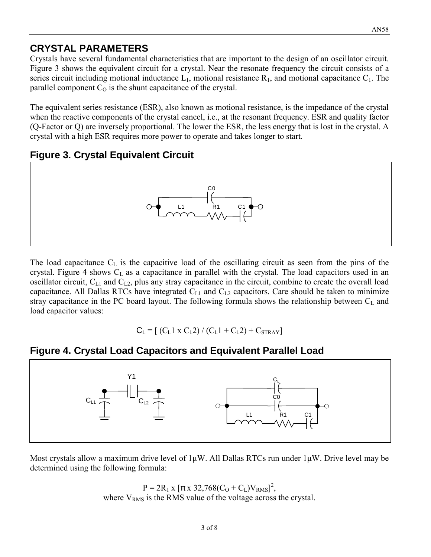# **CRYSTAL PARAMETERS**

Crystals have several fundamental characteristics that are important to the design of an oscillator circuit. Figure 3 shows the equivalent circuit for a crystal. Near the resonate frequency the circuit consists of a series circuit including motional inductance  $L_1$ , motional resistance  $R_1$ , and motional capacitance  $C_1$ . The parallel component  $C<sub>O</sub>$  is the shunt capacitance of the crystal.

The equivalent series resistance (ESR), also known as motional resistance, is the impedance of the crystal when the reactive components of the crystal cancel, i.e., at the resonant frequency. ESR and quality factor (Q-Factor or Q) are inversely proportional. The lower the ESR, the less energy that is lost in the crystal. A crystal with a high ESR requires more power to operate and takes longer to start.

# **Figure 3. Crystal Equivalent Circuit**



The load capacitance  $C_L$  is the capacitive load of the oscillating circuit as seen from the pins of the crystal. Figure 4 shows  $C<sub>L</sub>$  as a capacitance in parallel with the crystal. The load capacitors used in an oscillator circuit,  $C_{L1}$  and  $C_{L2}$ , plus any stray capacitance in the circuit, combine to create the overall load capacitance. All Dallas RTCs have integrated  $C_{L1}$  and  $C_{L2}$  capacitors. Care should be taken to minimize stray capacitance in the PC board layout. The following formula shows the relationship between  $C_L$  and load capacitor values:

$$
C_L = [ (C_L 1 \times C_L 2) / (C_L 1 + C_L 2) + C_{STRAY} ]
$$

# **Figure 4. Crystal Load Capacitors and Equivalent Parallel Load**



Most crystals allow a maximum drive level of  $1\mu W$ . All Dallas RTCs run under  $1\mu W$ . Drive level may be determined using the following formula:

> $P = 2R_1 x [\pi x 32,768(C_0 + C_L)V_{RMS}]^2$ , where  $V<sub>RMS</sub>$  is the RMS value of the voltage across the crystal.

AN58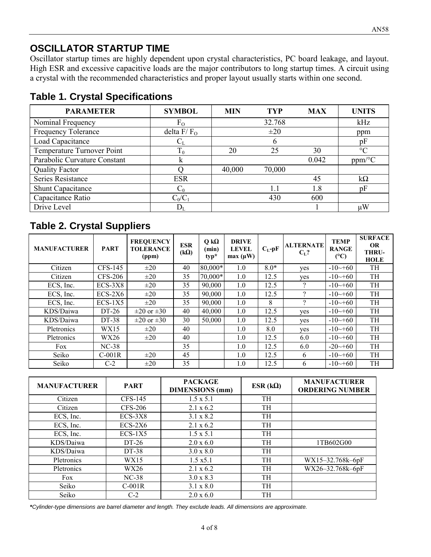# **OSCILLATOR STARTUP TIME**

Oscillator startup times are highly dependent upon crystal characteristics, PC board leakage, and layout. High ESR and excessive capacitive loads are the major contributors to long startup times. A circuit using a crystal with the recommended characteristics and proper layout usually starts within one second.

| <b>PARAMETER</b>             | <b>SYMBOL</b>           | <b>MIN</b> | <b>TYP</b> | <b>MAX</b> | <b>UNITS</b>           |
|------------------------------|-------------------------|------------|------------|------------|------------------------|
| Nominal Frequency            | $F_{O}$                 |            | 32.768     |            | kHz                    |
| Frequency Tolerance          | delta $F/FO$            |            | $\pm 20$   |            | ppm                    |
| Load Capacitance             | $\rm C_L$               |            | b          |            | pF                     |
| Temperature Turnover Point   | $T_0$                   | 20         | 25         | 30         | $\rm ^{\circ}C$        |
| Parabolic Curvature Constant | ĸ                       |            |            | 0.042      | $ppm$ <sup>o</sup> $C$ |
| <b>Quality Factor</b>        |                         | 40,000     | 70,000     |            |                        |
| Series Resistance            | <b>ESR</b>              |            |            | 45         | $k\Omega$              |
| <b>Shunt Capacitance</b>     | $C_0$                   |            | 1.1        | 1.8        | pF                     |
| Capacitance Ratio            | $C_0/C_1$               |            | 430        | 600        |                        |
| Drive Level                  | $\mathrm{D}_\mathrm{L}$ |            |            |            | μW                     |

# **Table 1. Crystal Specifications**

# **Table 2. Crystal Suppliers**

| <b>MANUFACTURER</b> | <b>PART</b>    | <b>FREQUENCY</b><br><b>TOLERANCE</b><br>(ppm) | <b>ESR</b><br>$(k\Omega)$ | $Q k\Omega$<br>(min)<br>typ* | <b>DRIVE</b><br><b>LEVEL</b><br>$max(\mu W)$ | $C_L$ -p $F$ | <b>ALTERNATE</b><br>$C_{L}$ ? | <b>TEMP</b><br><b>RANGE</b><br>$(^{\circ}C)$ | <b>SURFACE</b><br><b>OR</b><br>THRU-<br><b>HOLE</b> |
|---------------------|----------------|-----------------------------------------------|---------------------------|------------------------------|----------------------------------------------|--------------|-------------------------------|----------------------------------------------|-----------------------------------------------------|
| Citizen             | $CFS-145$      | $\pm 20$                                      | 40                        | 80,000*                      | 1.0                                          | $8.0*$       | yes                           | $-10 \rightarrow 60$                         | TH                                                  |
| Citizen             | <b>CFS-206</b> | $\pm 20$                                      | 35                        | $70,000*$                    | 1.0                                          | 12.5         | yes                           | $-10 \rightarrow 60$                         | TH                                                  |
| ECS, Inc.           | ECS-3X8        | $\pm 20$                                      | 35                        | 90,000                       | 1.0                                          | 12.5         | $\gamma$                      | $-10 \rightarrow 60$                         | TH                                                  |
| ECS, Inc.           | $ECS-2X6$      | $\pm 20$                                      | 35                        | 90,000                       | 1.0                                          | 12.5         | $\Omega$                      | $-10 \rightarrow 60$                         | TH                                                  |
| ECS, Inc.           | $ECS-1X5$      | $\pm 20$                                      | 35                        | 90,000                       | 1.0                                          | 8            | $\gamma$                      | $-10 \rightarrow 60$                         | TH                                                  |
| KDS/Daiwa           | DT-26          | $\pm 20$ or $\pm 30$                          | 40                        | 40,000                       | 1.0                                          | 12.5         | yes                           | $-10 \rightarrow 60$                         | TH                                                  |
| KDS/Daiwa           | DT-38          | $\pm 20$ or $\pm 30$                          | 30                        | 50,000                       | 1.0                                          | 12.5         | yes                           | $-10 \rightarrow 60$                         | TH                                                  |
| Pletronics          | WX15           | $\pm 20$                                      | 40                        |                              | 1.0                                          | 8.0          | yes                           | $-10 \rightarrow 60$                         | TH                                                  |
| Pletronics          | WX26           | $\pm 20$                                      | 40                        |                              | 1.0                                          | 12.5         | 6.0                           | $-10 \rightarrow 60$                         | TH                                                  |
| Fox                 | $NC-38$        |                                               | 35                        |                              | 1.0                                          | 12.5         | 6.0                           | $-20 \rightarrow 60$                         | TH                                                  |
| Seiko               | $C-001R$       | $\pm 20$                                      | 45                        |                              | 1.0                                          | 12.5         | 6                             | $-10 \rightarrow 60$                         | TH                                                  |
| Seiko               | $C-2$          | $\pm 20$                                      | 35                        |                              | 1.0                                          | 12.5         | 6                             | $-10 \rightarrow 60$                         | TH                                                  |

| <b>MANUFACTURER</b> | <b>PART</b> | <b>PACKAGE</b><br><b>DIMENSIONS</b> (mm) | ESR $(k\Omega)$ | <b>MANUFACTURER</b><br><b>ORDERING NUMBER</b> |
|---------------------|-------------|------------------------------------------|-----------------|-----------------------------------------------|
| Citizen             | CFS-145     | $1.5 \times 5.1$                         | TH              |                                               |
| Citizen             | CFS-206     | $2.1 \times 6.2$                         | TH              |                                               |
| ECS, Inc.           | $ECS-3X8$   | $3.1 \times 8.2$                         | TH              |                                               |
| ECS, Inc.           | $ECS-2X6$   | $2.1 \times 6.2$                         | TH              |                                               |
| ECS, Inc.           | $ECS-1X5$   | $1.5 \times 5.1$                         | TH              |                                               |
| KDS/Daiwa           | DT-26       | $2.0 \times 6.0$                         | TH              | 1TB602G00                                     |
| KDS/Daiwa           | DT-38       | $3.0 \times 8.0$                         | TH              |                                               |
| Pletronics          | WX15        | $1.5 \times 5.1$                         | <b>TH</b>       | WX15-32.768k-6pF                              |
| Pletronics          | WX26        | $2.1 \times 6.2$                         | TH              | WX26-32.768k-6pF                              |
| Fox                 | $NC-38$     | $3.0 \times 8.3$                         | TH              |                                               |
| Seiko               | $C-001R$    | $3.1 \times 8.0$                         | TH              |                                               |
| Seiko               | $C-2$       | $2.0 \times 6.0$                         | TH              |                                               |

**\****Cylinder-type dimensions are barrel diameter and length. They exclude leads. All dimensions are approximate.*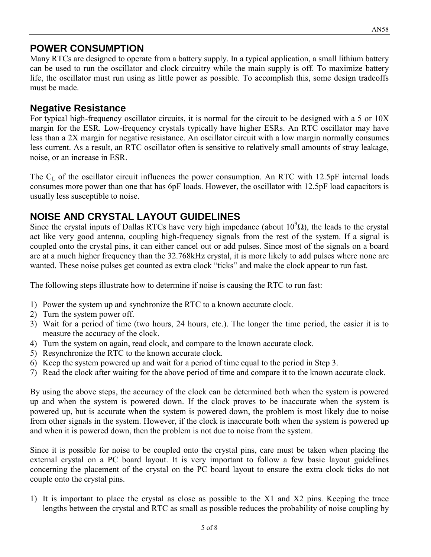# **POWER CONSUMPTION**

Many RTCs are designed to operate from a battery supply. In a typical application, a small lithium battery can be used to run the oscillator and clock circuitry while the main supply is off. To maximize battery life, the oscillator must run using as little power as possible. To accomplish this, some design tradeoffs must be made.

#### **Negative Resistance**

For typical high-frequency oscillator circuits, it is normal for the circuit to be designed with a 5 or 10X margin for the ESR. Low-frequency crystals typically have higher ESRs. An RTC oscillator may have less than a 2X margin for negative resistance. An oscillator circuit with a low margin normally consumes less current. As a result, an RTC oscillator often is sensitive to relatively small amounts of stray leakage, noise, or an increase in ESR.

The  $C_L$  of the oscillator circuit influences the power consumption. An RTC with 12.5pF internal loads consumes more power than one that has 6pF loads. However, the oscillator with 12.5pF load capacitors is usually less susceptible to noise.

# **NOISE AND CRYSTAL LAYOUT GUIDELINES**

Since the crystal inputs of Dallas RTCs have very high impedance (about  $10^9\Omega$ ), the leads to the crystal act like very good antenna, coupling high-frequency signals from the rest of the system. If a signal is coupled onto the crystal pins, it can either cancel out or add pulses. Since most of the signals on a board are at a much higher frequency than the 32.768kHz crystal, it is more likely to add pulses where none are wanted. These noise pulses get counted as extra clock "ticks" and make the clock appear to run fast.

The following steps illustrate how to determine if noise is causing the RTC to run fast:

- 1) Power the system up and synchronize the RTC to a known accurate clock.
- 2) Turn the system power off.
- 3) Wait for a period of time (two hours, 24 hours, etc.). The longer the time period, the easier it is to measure the accuracy of the clock.
- 4) Turn the system on again, read clock, and compare to the known accurate clock.
- 5) Resynchronize the RTC to the known accurate clock.
- 6) Keep the system powered up and wait for a period of time equal to the period in Step 3.
- 7) Read the clock after waiting for the above period of time and compare it to the known accurate clock.

By using the above steps, the accuracy of the clock can be determined both when the system is powered up and when the system is powered down. If the clock proves to be inaccurate when the system is powered up, but is accurate when the system is powered down, the problem is most likely due to noise from other signals in the system. However, if the clock is inaccurate both when the system is powered up and when it is powered down, then the problem is not due to noise from the system.

Since it is possible for noise to be coupled onto the crystal pins, care must be taken when placing the external crystal on a PC board layout. It is very important to follow a few basic layout guidelines concerning the placement of the crystal on the PC board layout to ensure the extra clock ticks do not couple onto the crystal pins.

1) It is important to place the crystal as close as possible to the X1 and X2 pins. Keeping the trace lengths between the crystal and RTC as small as possible reduces the probability of noise coupling by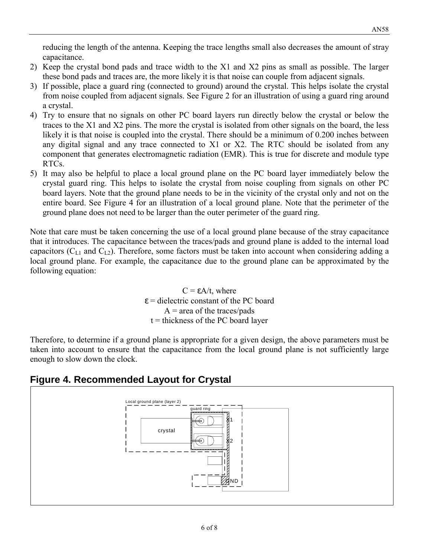reducing the length of the antenna. Keeping the trace lengths small also decreases the amount of stray capacitance.

- 2) Keep the crystal bond pads and trace width to the X1 and X2 pins as small as possible. The larger these bond pads and traces are, the more likely it is that noise can couple from adjacent signals.
- 3) If possible, place a guard ring (connected to ground) around the crystal. This helps isolate the crystal from noise coupled from adjacent signals. See Figure 2 for an illustration of using a guard ring around a crystal.
- 4) Try to ensure that no signals on other PC board layers run directly below the crystal or below the traces to the X1 and X2 pins. The more the crystal is isolated from other signals on the board, the less likely it is that noise is coupled into the crystal. There should be a minimum of 0.200 inches between any digital signal and any trace connected to X1 or X2. The RTC should be isolated from any component that generates electromagnetic radiation (EMR). This is true for discrete and module type RTCs.
- 5) It may also be helpful to place a local ground plane on the PC board layer immediately below the crystal guard ring. This helps to isolate the crystal from noise coupling from signals on other PC board layers. Note that the ground plane needs to be in the vicinity of the crystal only and not on the entire board. See Figure 4 for an illustration of a local ground plane. Note that the perimeter of the ground plane does not need to be larger than the outer perimeter of the guard ring.

Note that care must be taken concerning the use of a local ground plane because of the stray capacitance that it introduces. The capacitance between the traces/pads and ground plane is added to the internal load capacitors  $(C_{L1}$  and  $C_{L2}$ ). Therefore, some factors must be taken into account when considering adding a local ground plane. For example, the capacitance due to the ground plane can be approximated by the following equation:

> $C = \varepsilon A/t$ , where  $\epsilon$  = dielectric constant of the PC board  $A = \text{area of the traces/pads}$  $t =$  thickness of the PC board layer

Therefore, to determine if a ground plane is appropriate for a given design, the above parameters must be taken into account to ensure that the capacitance from the local ground plane is not sufficiently large enough to slow down the clock.

# **Figure 4. Recommended Layout for Crystal**

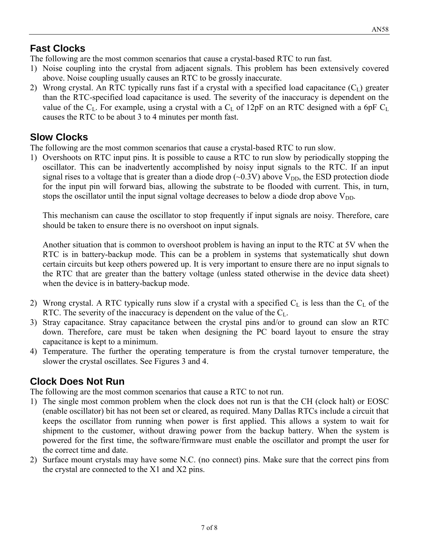#### **Fast Clocks**

The following are the most common scenarios that cause a crystal-based RTC to run fast.

- 1) Noise coupling into the crystal from adjacent signals. This problem has been extensively covered above. Noise coupling usually causes an RTC to be grossly inaccurate.
- 2) Wrong crystal. An RTC typically runs fast if a crystal with a specified load capacitance  $(C_L)$  greater than the RTC-specified load capacitance is used. The severity of the inaccuracy is dependent on the value of the  $C_L$ . For example, using a crystal with a  $C_L$  of 12pF on an RTC designed with a 6pF  $C_L$ causes the RTC to be about 3 to 4 minutes per month fast.

#### **Slow Clocks**

The following are the most common scenarios that cause a crystal-based RTC to run slow.

1) Overshoots on RTC input pins. It is possible to cause a RTC to run slow by periodically stopping the oscillator. This can be inadvertently accomplished by noisy input signals to the RTC. If an input signal rises to a voltage that is greater than a diode drop  $(\sim 0.3 \text{V})$  above  $V_{DD}$ , the ESD protection diode for the input pin will forward bias, allowing the substrate to be flooded with current. This, in turn, stops the oscillator until the input signal voltage decreases to below a diode drop above  $V_{DD}$ .

This mechanism can cause the oscillator to stop frequently if input signals are noisy. Therefore, care should be taken to ensure there is no overshoot on input signals.

Another situation that is common to overshoot problem is having an input to the RTC at 5V when the RTC is in battery-backup mode. This can be a problem in systems that systematically shut down certain circuits but keep others powered up. It is very important to ensure there are no input signals to the RTC that are greater than the battery voltage (unless stated otherwise in the device data sheet) when the device is in battery-backup mode.

- 2) Wrong crystal. A RTC typically runs slow if a crystal with a specified  $C_L$  is less than the  $C_L$  of the RTC. The severity of the inaccuracy is dependent on the value of the  $C_L$ .
- 3) Stray capacitance. Stray capacitance between the crystal pins and/or to ground can slow an RTC down. Therefore, care must be taken when designing the PC board layout to ensure the stray capacitance is kept to a minimum.
- 4) Temperature. The further the operating temperature is from the crystal turnover temperature, the slower the crystal oscillates. See Figures 3 and 4.

# **Clock Does Not Run**

The following are the most common scenarios that cause a RTC to not run.

- 1) The single most common problem when the clock does not run is that the CH (clock halt) or EOSC (enable oscillator) bit has not been set or cleared, as required. Many Dallas RTCs include a circuit that keeps the oscillator from running when power is first applied. This allows a system to wait for shipment to the customer, without drawing power from the backup battery. When the system is powered for the first time, the software/firmware must enable the oscillator and prompt the user for the correct time and date.
- 2) Surface mount crystals may have some N.C. (no connect) pins. Make sure that the correct pins from the crystal are connected to the X1 and X2 pins.